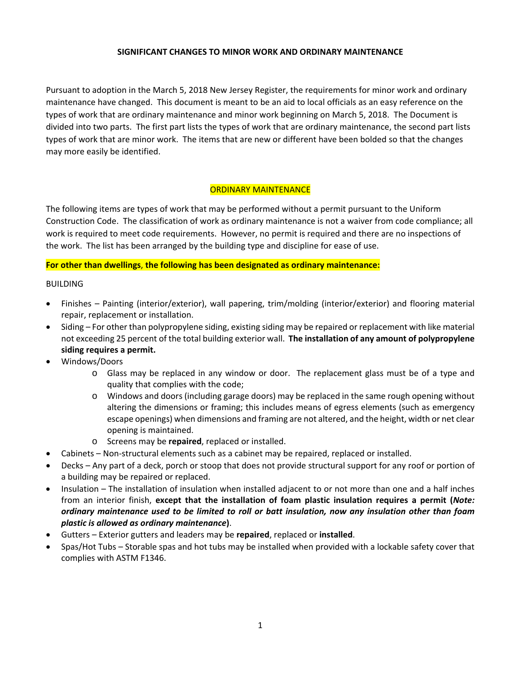## **SIGNIFICANT CHANGES TO MINOR WORK AND ORDINARY MAINTENANCE**

Pursuant to adoption in the March 5, 2018 New Jersey Register, the requirements for minor work and ordinary maintenance have changed. This document is meant to be an aid to local officials as an easy reference on the types of work that are ordinary maintenance and minor work beginning on March 5, 2018. The Document is divided into two parts. The first part lists the types of work that are ordinary maintenance, the second part lists types of work that are minor work. The items that are new or different have been bolded so that the changes may more easily be identified.

## ORDINARY MAINTENANCE

The following items are types of work that may be performed without a permit pursuant to the Uniform Construction Code. The classification of work as ordinary maintenance is not a waiver from code compliance; all work is required to meet code requirements. However, no permit is required and there are no inspections of the work. The list has been arranged by the building type and discipline for ease of use.

#### **For other than dwellings**, **the following has been designated as ordinary maintenance:**

#### **BUILDING**

- Finishes Painting (interior/exterior), wall papering, trim/molding (interior/exterior) and flooring material repair, replacement or installation.
- Siding For other than polypropylene siding, existing siding may be repaired or replacement with like material not exceeding 25 percent of the total building exterior wall. **The installation of any amount of polypropylene siding requires a permit.**
- Windows/Doors
	- o Glass may be replaced in any window or door. The replacement glass must be of a type and quality that complies with the code;
	- o Windows and doors (including garage doors) may be replaced in the same rough opening without altering the dimensions or framing; this includes means of egress elements (such as emergency escape openings) when dimensions and framing are not altered, and the height, width or net clear opening is maintained.
	- o Screens may be **repaired**, replaced or installed.
- Cabinets Non-structural elements such as a cabinet may be repaired, replaced or installed.
- Decks Any part of a deck, porch or stoop that does not provide structural support for any roof or portion of a building may be repaired or replaced.
- Insulation The installation of insulation when installed adjacent to or not more than one and a half inches from an interior finish, **except that the installation of foam plastic insulation requires a permit (***Note: ordinary maintenance used to be limited to roll or batt insulation, now any insulation other than foam plastic is allowed as ordinary maintenance***)**.
- Gutters Exterior gutters and leaders may be **repaired**, replaced or **installed**.
- Spas/Hot Tubs Storable spas and hot tubs may be installed when provided with a lockable safety cover that complies with ASTM F1346.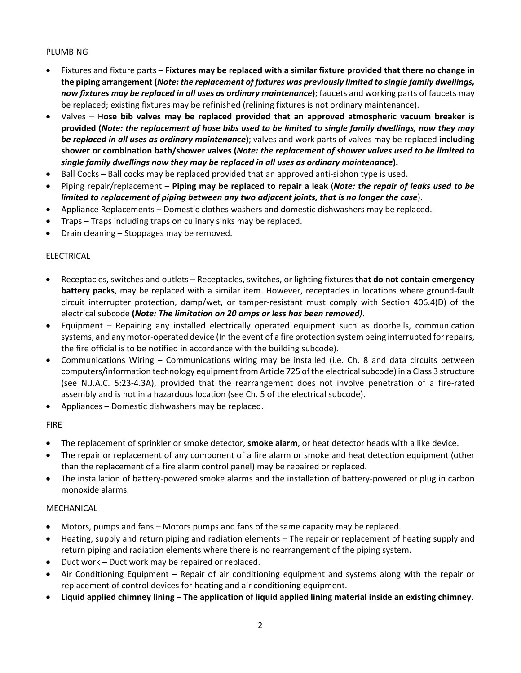# PLUMBING

- Fixtures and fixture parts **Fixtures may be replaced with a similar fixture provided that there no change in the piping arrangement (***Note: the replacement of fixtures was previously limited to single family dwellings, now fixtures may be replaced in all uses as ordinary maintenance***)**; faucets and working parts of faucets may be replaced; existing fixtures may be refinished (relining fixtures is not ordinary maintenance).
- Valves H**ose bib valves may be replaced provided that an approved atmospheric vacuum breaker is** provided (Note: the replacement of hose bibs used to be limited to single family dwellings, now they may *be replaced in all uses as ordinary maintenance***)**; valves and work parts of valves may be replaced **including shower or combination bath/shower valves (***Note: the replacement of shower valves used to be limited to single family dwellings now they may be replaced in all uses as ordinary maintenance***).**
- Ball Cocks Ball cocks may be replaced provided that an approved anti-siphon type is used.
- Piping repair/replacement **Piping may be replaced to repair a leak** (*Note: the repair of leaks used to be limited to replacement of piping between any two adjacent joints, that is no longer the case*).
- Appliance Replacements Domestic clothes washers and domestic dishwashers may be replaced.
- Traps Traps including traps on culinary sinks may be replaced.
- Drain cleaning Stoppages may be removed.

## ELECTRICAL

- Receptacles, switches and outlets Receptacles, switches, or lighting fixtures **that do not contain emergency battery packs**, may be replaced with a similar item. However, receptacles in locations where ground‐fault circuit interrupter protection, damp/wet, or tamper‐resistant must comply with Section 406.4(D) of the electrical subcode **(***Note: The limitation on 20 amps or less has been removed)*.
- Equipment Repairing any installed electrically operated equipment such as doorbells, communication systems, and any motor-operated device (In the event of a fire protection system being interrupted for repairs, the fire official is to be notified in accordance with the building subcode).
- Communications Wiring Communications wiring may be installed (i.e. Ch. 8 and data circuits between computers/information technology equipment from Article 725 of the electrical subcode) in a Class 3 structure (see N.J.A.C. 5:23‐4.3A), provided that the rearrangement does not involve penetration of a fire‐rated assembly and is not in a hazardous location (see Ch. 5 of the electrical subcode).
- Appliances Domestic dishwashers may be replaced.

## FIRE

- The replacement of sprinkler or smoke detector, **smoke alarm**, or heat detector heads with a like device.
- The repair or replacement of any component of a fire alarm or smoke and heat detection equipment (other than the replacement of a fire alarm control panel) may be repaired or replaced.
- The installation of battery-powered smoke alarms and the installation of battery-powered or plug in carbon monoxide alarms.

## MECHANICAL

- Motors, pumps and fans Motors pumps and fans of the same capacity may be replaced.
- Heating, supply and return piping and radiation elements The repair or replacement of heating supply and return piping and radiation elements where there is no rearrangement of the piping system.
- Duct work Duct work may be repaired or replaced.
- Air Conditioning Equipment Repair of air conditioning equipment and systems along with the repair or replacement of control devices for heating and air conditioning equipment.
- **Liquid applied chimney lining – The application of liquid applied lining material inside an existing chimney.**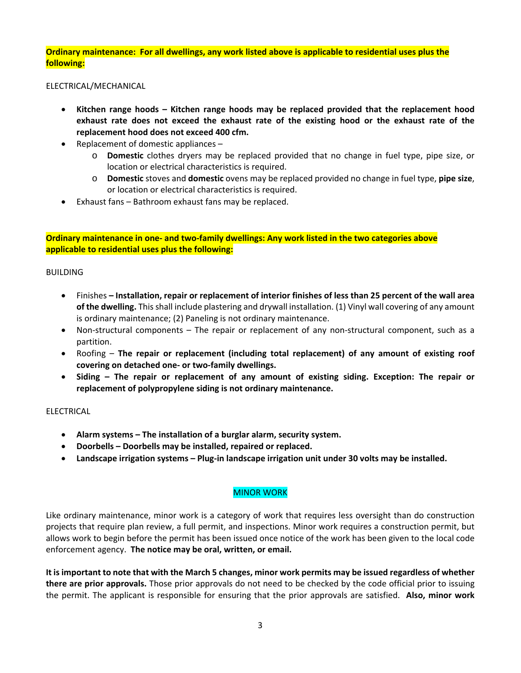Ordinary maintenance: For all dwellings, any work listed above is applicable to residential uses plus the **following:**

ELECTRICAL/MECHANICAL

- **Kitchen range hoods – Kitchen range hoods may be replaced provided that the replacement hood exhaust rate does not exceed the exhaust rate of the existing hood or the exhaust rate of the replacement hood does not exceed 400 cfm.**
- Replacement of domestic appliances  $$ 
	- o **Domestic** clothes dryers may be replaced provided that no change in fuel type, pipe size, or location or electrical characteristics is required.
	- o **Domestic** stoves and **domestic** ovens may be replaced provided no change in fuel type, **pipe size**, or location or electrical characteristics is required.
- Exhaust fans Bathroom exhaust fans may be replaced.

**Ordinary maintenance in one‐ and two‐family dwellings: Any work listed in the two categories above applicable to residential uses plus the following:**

#### BUILDING

- Finishes Installation, repair or replacement of interior finishes of less than 25 percent of the wall area **of the dwelling.** Thisshall include plastering and drywall installation. (1) Vinyl wall covering of any amount is ordinary maintenance; (2) Paneling is not ordinary maintenance.
- Non-structural components The repair or replacement of any non-structural component, such as a partition.
- Roofing **The repair or replacement (including total replacement) of any amount of existing roof covering on detached one‐ or two‐family dwellings.**
- **Siding – The repair or replacement of any amount of existing siding. Exception: The repair or replacement of polypropylene siding is not ordinary maintenance.**

# ELECTRICAL

- **Alarm systems – The installation of a burglar alarm, security system.**
- **Doorbells – Doorbells may be installed, repaired or replaced.**
- **Landscape irrigation systems – Plug‐in landscape irrigation unit under 30 volts may be installed.**

## MINOR WORK

Like ordinary maintenance, minor work is a category of work that requires less oversight than do construction projects that require plan review, a full permit, and inspections. Minor work requires a construction permit, but allows work to begin before the permit has been issued once notice of the work has been given to the local code enforcement agency. **The notice may be oral, written, or email.**

It is important to note that with the March 5 changes, minor work permits may be issued regardless of whether **there are prior approvals.** Those prior approvals do not need to be checked by the code official prior to issuing the permit. The applicant is responsible for ensuring that the prior approvals are satisfied. **Also, minor work**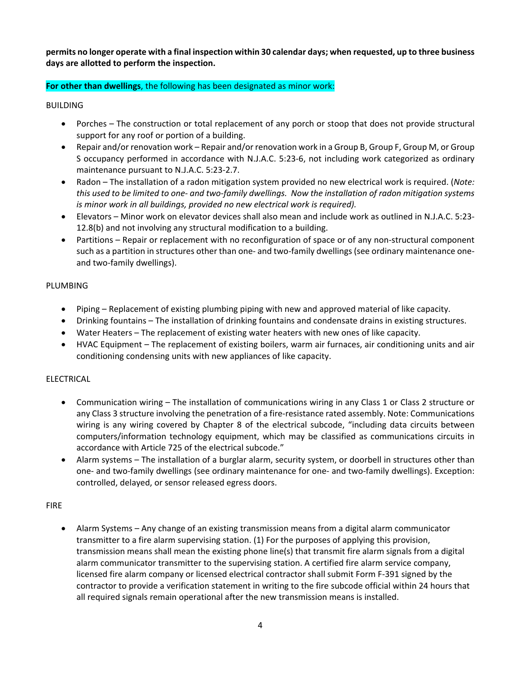permits no longer operate with a final inspection within 30 calendar days; when requested, up to three business **days are allotted to perform the inspection.** 

# **For other than dwellings**, the following has been designated as minor work:

BUILDING

- Porches The construction or total replacement of any porch or stoop that does not provide structural support for any roof or portion of a building.
- Repair and/or renovation work Repair and/or renovation work in a Group B, Group F, Group M, or Group S occupancy performed in accordance with N.J.A.C. 5:23‐6, not including work categorized as ordinary maintenance pursuant to N.J.A.C. 5:23‐2.7.
- Radon The installation of a radon mitigation system provided no new electrical work is required. (*Note:* this used to be limited to one- and two-family dwellings. Now the installation of radon mitigation systems *is minor work in all buildings, provided no new electrical work is required).*
- Elevators Minor work on elevator devices shall also mean and include work as outlined in N.J.A.C. 5:23‐ 12.8(b) and not involving any structural modification to a building.
- Partitions Repair or replacement with no reconfiguration of space or of any non-structural component such as a partition in structures other than one- and two-family dwellings (see ordinary maintenance oneand two-family dwellings).

## PLUMBING

- Piping Replacement of existing plumbing piping with new and approved material of like capacity.
- Drinking fountains The installation of drinking fountains and condensate drains in existing structures.
- Water Heaters The replacement of existing water heaters with new ones of like capacity.
- HVAC Equipment The replacement of existing boilers, warm air furnaces, air conditioning units and air conditioning condensing units with new appliances of like capacity.

## ELECTRICAL

- Communication wiring The installation of communications wiring in any Class 1 or Class 2 structure or any Class 3 structure involving the penetration of a fire-resistance rated assembly. Note: Communications wiring is any wiring covered by Chapter 8 of the electrical subcode, "including data circuits between computers/information technology equipment, which may be classified as communications circuits in accordance with Article 725 of the electrical subcode."
- Alarm systems The installation of a burglar alarm, security system, or doorbell in structures other than one‐ and two‐family dwellings (see ordinary maintenance for one‐ and two‐family dwellings). Exception: controlled, delayed, or sensor released egress doors.

## FIRE

 Alarm Systems – Any change of an existing transmission means from a digital alarm communicator transmitter to a fire alarm supervising station. (1) For the purposes of applying this provision, transmission means shall mean the existing phone line(s) that transmit fire alarm signals from a digital alarm communicator transmitter to the supervising station. A certified fire alarm service company, licensed fire alarm company or licensed electrical contractor shall submit Form F‐391 signed by the contractor to provide a verification statement in writing to the fire subcode official within 24 hours that all required signals remain operational after the new transmission means is installed.